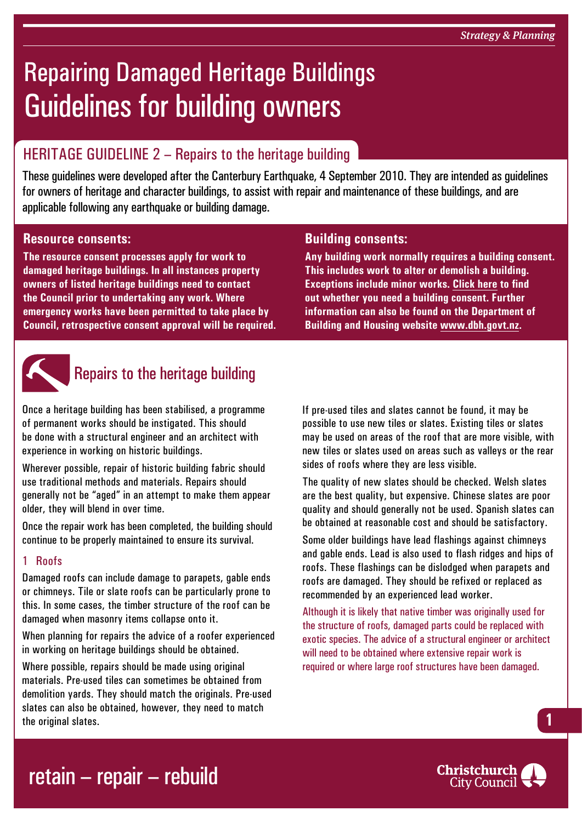# Repairing Damaged Heritage Buildings Guidelines for building owners

### HERITAGE GUIDELINE  $2$  – Repairs to the heritage building

These guidelines were developed after the Canterbury Earthquake, 4 September 2010. They are intended as guidelines for owners of heritage and character buildings, to assist with repair and maintenance of these buildings, and are applicable following any earthquake or building damage.

### **Resource consents:**

**The resource consent processes apply for work to damaged heritage buildings. In all instances property owners of listed heritage buildings need to contact the Council prior to undertaking any work. Where emergency works have been permitted to take place by Council, retrospective consent approval will be required.**



## Repairs to the heritage building

Once a heritage building has been stabilised, a programme of permanent works should be instigated. This should be done with a structural engineer and an architect with experience in working on historic buildings.

Wherever possible, repair of historic building fabric should use traditional methods and materials. Repairs should generally not be "aged" in an attempt to make them appear older, they will blend in over time.

Once the repair work has been completed, the building should continue to be properly maintained to ensure its survival.

### 1 Roofs

Damaged roofs can include damage to parapets, gable ends or chimneys. Tile or slate roofs can be particularly prone to this. In some cases, the timber structure of the roof can be damaged when masonry items collapse onto it.

When planning for repairs the advice of a roofer experienced in working on heritage buildings should be obtained.

Where possible, repairs should be made using original materials. Pre-used tiles can sometimes be obtained from demolition yards. They should match the originals. Pre-used slates can also be obtained, however, they need to match the original slates.

### **Building consents:**

**Any building work normally requires a building consent. This includes work to alter or demolish a building. Exceptions include minor works. [Click here](http://www.ccc.govt.nz/homeliving/buildingplanning/buildingconsents/index.aspx) to find out whether you need a building consent. Further information can also be found on the Department of Building and Housing website [www.dbh.govt.nz](http://www.dbh.govt.nz).**

If pre-used tiles and slates cannot be found, it may be possible to use new tiles or slates. Existing tiles or slates may be used on areas of the roof that are more visible, with new tiles or slates used on areas such as valleys or the rear sides of roofs where they are less visible.

The quality of new slates should be checked. Welsh slates are the best quality, but expensive. Chinese slates are poor quality and should generally not be used. Spanish slates can be obtained at reasonable cost and should be satisfactory.

Some older buildings have lead flashings against chimneys and gable ends. Lead is also used to flash ridges and hips of roofs. These flashings can be dislodged when parapets and roofs are damaged. They should be refixed or replaced as recommended by an experienced lead worker.

Although it is likely that native timber was originally used for the structure of roofs, damaged parts could be replaced with exotic species. The advice of a structural engineer or architect will need to be obtained where extensive repair work is required or where large roof structures have been damaged.



**1**

## retain – repair – rebuild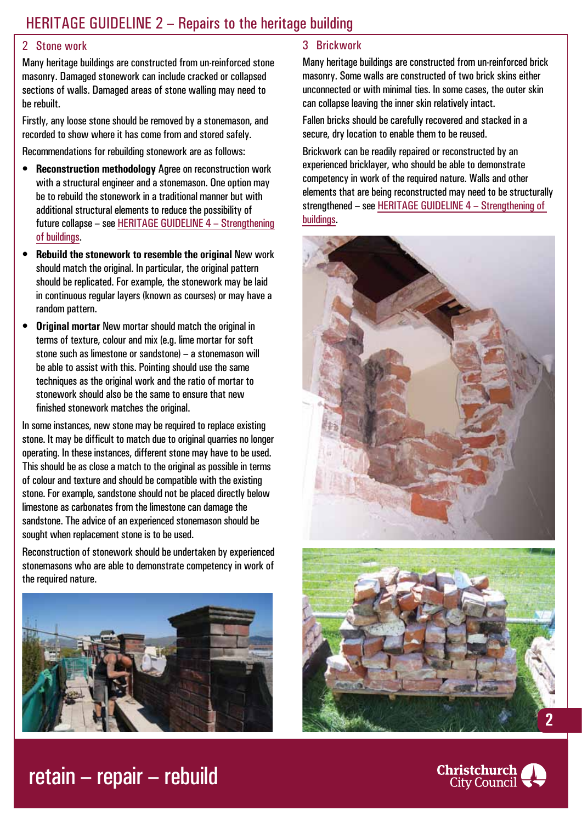### HERITAGE GUIDELINE 2 – Repairs to the heritage building

#### 2 Stone work

Many heritage buildings are constructed from un-reinforced stone masonry. Damaged stonework can include cracked or collapsed sections of walls. Damaged areas of stone walling may need to be rebuilt.

Firstly, any loose stone should be removed by a stonemason, and recorded to show where it has come from and stored safely.

Recommendations for rebuilding stonework are as follows:

- **Reconstruction methodology** Agree on reconstruction work with a structural engineer and a stonemason. One option may be to rebuild the stonework in a traditional manner but with additional structural elements to reduce the possibility of future collapse – see HERITAGE GUIDELINE 4 – Strengthening of buildings.
- **Rebuild the stonework to resemble the original New work** should match the original. In particular, the original pattern should be replicated. For example, the stonework may be laid in continuous regular layers (known as courses) or may have a random pattern.
- **Original mortar** New mortar should match the original in terms of texture, colour and mix (e.g. lime mortar for soft stone such as limestone or sandstone) – a stonemason will be able to assist with this. Pointing should use the same techniques as the original work and the ratio of mortar to stonework should also be the same to ensure that new finished stonework matches the original.

In some instances, new stone may be required to replace existing stone. It may be difficult to match due to original quarries no longer operating. In these instances, different stone may have to be used. This should be as close a match to the original as possible in terms of colour and texture and should be compatible with the existing stone. For example, sandstone should not be placed directly below limestone as carbonates from the limestone can damage the sandstone. The advice of an experienced stonemason should be sought when replacement stone is to be used.

Reconstruction of stonework should be undertaken by experienced stonemasons who are able to demonstrate competency in work of the required nature.



### 3 Brickwork

Many heritage buildings are constructed from un-reinforced brick masonry. Some walls are constructed of two brick skins either unconnected or with minimal ties. In some cases, the outer skin can collapse leaving the inner skin relatively intact.

Fallen bricks should be carefully recovered and stacked in a secure, dry location to enable them to be reused.

Brickwork can be readily repaired or reconstructed by an experienced bricklayer, who should be able to demonstrate competency in work of the required nature. Walls and other elements that are being reconstructed may need to be structurally strengthened – see HERITAGE GUIDELINE 4 – Strengthening of buildings.







## retain – repair – rebuild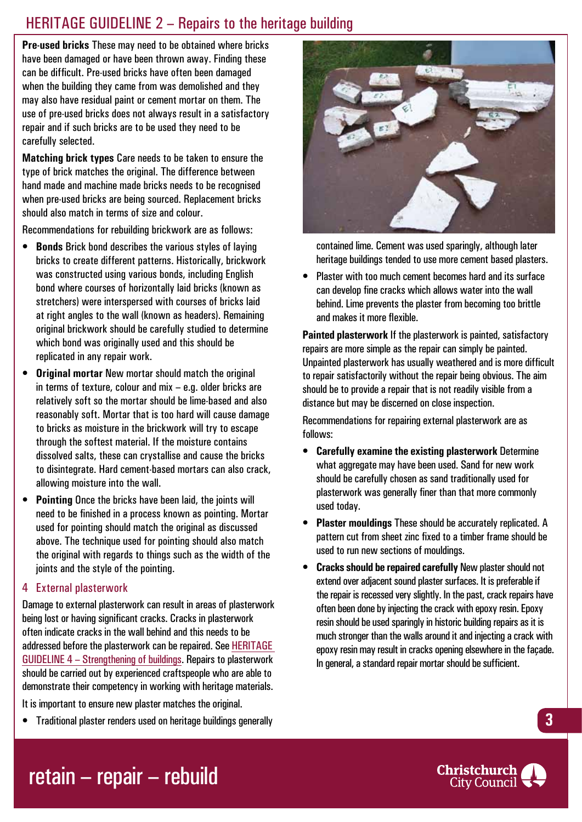### HERITAGE GUIDELINE 2 – Repairs to the heritage building

**Pre-used bricks** These may need to be obtained where bricks have been damaged or have been thrown away. Finding these can be difficult. Pre-used bricks have often been damaged when the building they came from was demolished and they may also have residual paint or cement mortar on them. The use of pre-used bricks does not always result in a satisfactory repair and if such bricks are to be used they need to be carefully selected.

**Matching brick types** Care needs to be taken to ensure the type of brick matches the original. The difference between hand made and machine made bricks needs to be recognised when pre-used bricks are being sourced. Replacement bricks should also match in terms of size and colour.

Recommendations for rebuilding brickwork are as follows:

- **Bonds** Brick bond describes the various styles of laying bricks to create different patterns. Historically, brickwork was constructed using various bonds, including English bond where courses of horizontally laid bricks (known as stretchers) were interspersed with courses of bricks laid at right angles to the wall (known as headers). Remaining original brickwork should be carefully studied to determine which bond was originally used and this should be replicated in any repair work.
- **Original mortar New mortar should match the original** in terms of texture, colour and mix – e.g. older bricks are relatively soft so the mortar should be lime-based and also reasonably soft. Mortar that is too hard will cause damage to bricks as moisture in the brickwork will try to escape through the softest material. If the moisture contains dissolved salts, these can crystallise and cause the bricks to disintegrate. Hard cement-based mortars can also crack, allowing moisture into the wall.
- **Pointing** Once the bricks have been laid, the joints will need to be finished in a process known as pointing. Mortar used for pointing should match the original as discussed above. The technique used for pointing should also match the original with regards to things such as the width of the joints and the style of the pointing.

### 4 External plasterwork

Damage to external plasterwork can result in areas of plasterwork being lost or having significant cracks. Cracks in plasterwork often indicate cracks in the wall behind and this needs to be addressed before the plasterwork can be repaired. See HERITAGE GUIDELINE 4 – Strengthening of buildings. Repairs to plasterwork should be carried out by experienced craftspeople who are able to demonstrate their competency in working with heritage materials.

It is important to ensure new plaster matches the original.

• Traditional plaster renders used on heritage buildings generally



contained lime. Cement was used sparingly, although later heritage buildings tended to use more cement based plasters.

• Plaster with too much cement becomes hard and its surface can develop fine cracks which allows water into the wall behind. Lime prevents the plaster from becoming too brittle and makes it more flexible.

**Painted plasterwork** If the plasterwork is painted, satisfactory repairs are more simple as the repair can simply be painted. Unpainted plasterwork has usually weathered and is more difficult to repair satisfactorily without the repair being obvious. The aim should be to provide a repair that is not readily visible from a distance but may be discerned on close inspection.

Recommendations for repairing external plasterwork are as follows:

- • **Carefully examine the existing plasterwork** Determine what aggregate may have been used. Sand for new work should be carefully chosen as sand traditionally used for plasterwork was generally finer than that morecommonly used today.
- **Plaster mouldings These should be accurately replicated. A** pattern cut from sheet zinc fixed to a timber frame should be used to run new sections of mouldings.
- **Cracks should be repaired carefully New plaster should not** extend over adjacent sound plaster surfaces. It is preferable if the repair is recessed very slightly. In the past, crack repairs have often been done by injecting the crack with epoxy resin. Epoxy resin should be used sparingly in historic building repairs as it is much stronger than the walls around it and injecting a crack with epoxy resin may result in cracks opening elsewhere in the façade. In general, a standard repair mortar should be sufficient.

## retain – repair – rebuild